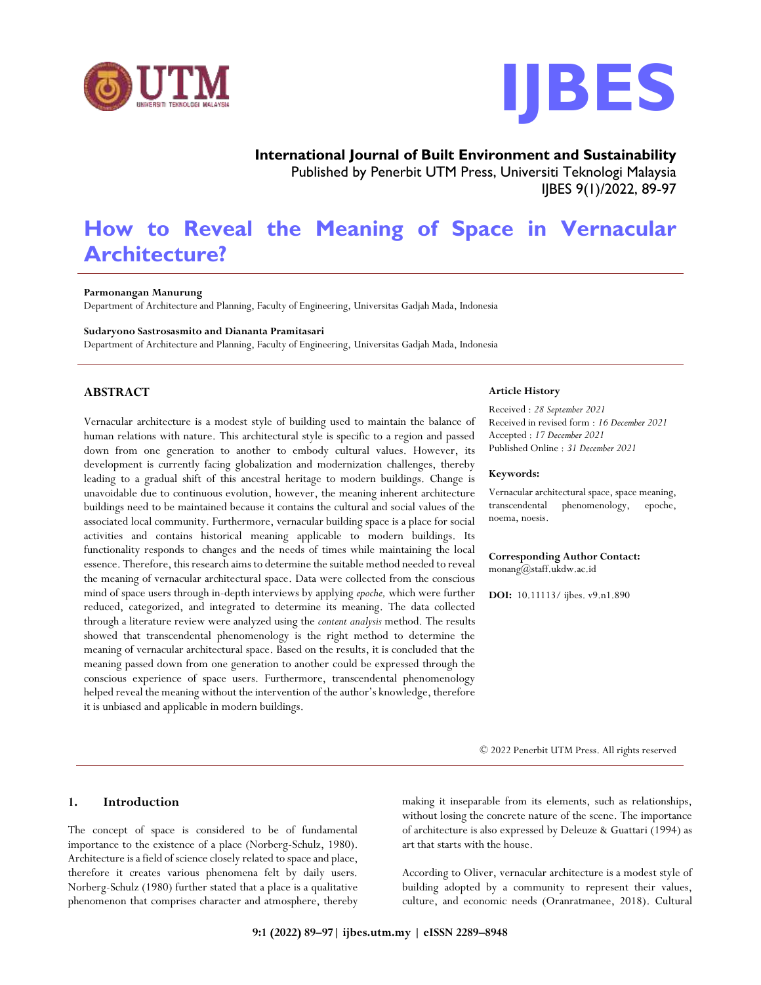



**International Journal of Built Environment and Sustainability** Published by Penerbit UTM Press, Universiti Teknologi Malaysia IJBES 9(1)/2022, 89-97

# **How to Reveal the Meaning of Space in Vernacular Architecture?**

## **Parmonangan Manurung**

Department of Architecture and Planning, Faculty of Engineering, Universitas Gadjah Mada, Indonesia

#### **Sudaryono Sastrosasmito and Diananta Pramitasari**

Department of Architecture and Planning, Faculty of Engineering, Universitas Gadjah Mada, Indonesia

# **ABSTRACT**

Vernacular architecture is a modest style of building used to maintain the balance of human relations with nature. This architectural style is specific to a region and passed down from one generation to another to embody cultural values. However, its development is currently facing globalization and modernization challenges, thereby leading to a gradual shift of this ancestral heritage to modern buildings. Change is unavoidable due to continuous evolution, however, the meaning inherent architecture buildings need to be maintained because it contains the cultural and social values of the associated local community. Furthermore, vernacular building space is a place for social activities and contains historical meaning applicable to modern buildings. Its functionality responds to changes and the needs of times while maintaining the local essence. Therefore, this research aims to determine the suitable method needed to reveal the meaning of vernacular architectural space. Data were collected from the conscious mind of space users through in-depth interviews by applying *epoche,* which were further reduced, categorized, and integrated to determine its meaning. The data collected through a literature review were analyzed using the *content analysis* method. The results showed that transcendental phenomenology is the right method to determine the meaning of vernacular architectural space. Based on the results, it is concluded that the meaning passed down from one generation to another could be expressed through the conscious experience of space users. Furthermore, transcendental phenomenology helped reveal the meaning without the intervention of the author's knowledge, therefore it is unbiased and applicable in modern buildings.

# **1. Introduction**

The concept of space is considered to be of fundamental importance to the existence of a place (Norberg-Schulz, 1980). Architecture is a field of science closely related to space and place, therefore it creates various phenomena felt by daily users. Norberg-Schulz (1980) further stated that a place is a qualitative phenomenon that comprises character and atmosphere, thereby

#### **Article History**

Received : *28 September 2021* Received in revised form : *16 December 2021* Accepted : *17 December 2021* Published Online : *31 December 2021*

#### **Keywords:**

Vernacular architectural space, space meaning, transcendental phenomenology, epoche, noema, noesis.

#### **Corresponding Author Contact:** monang@staff.ukdw.ac.id

**DOI:** 10.11113/ ijbes. v9.n1.890

© 2022 Penerbit UTM Press. All rights reserved

making it inseparable from its elements, such as relationships, without losing the concrete nature of the scene. The importance of architecture is also expressed by Deleuze & Guattari (1994) as art that starts with the house.

According to Oliver, vernacular architecture is a modest style of building adopted by a community to represent their values, culture, and economic needs (Oranratmanee, 2018). Cultural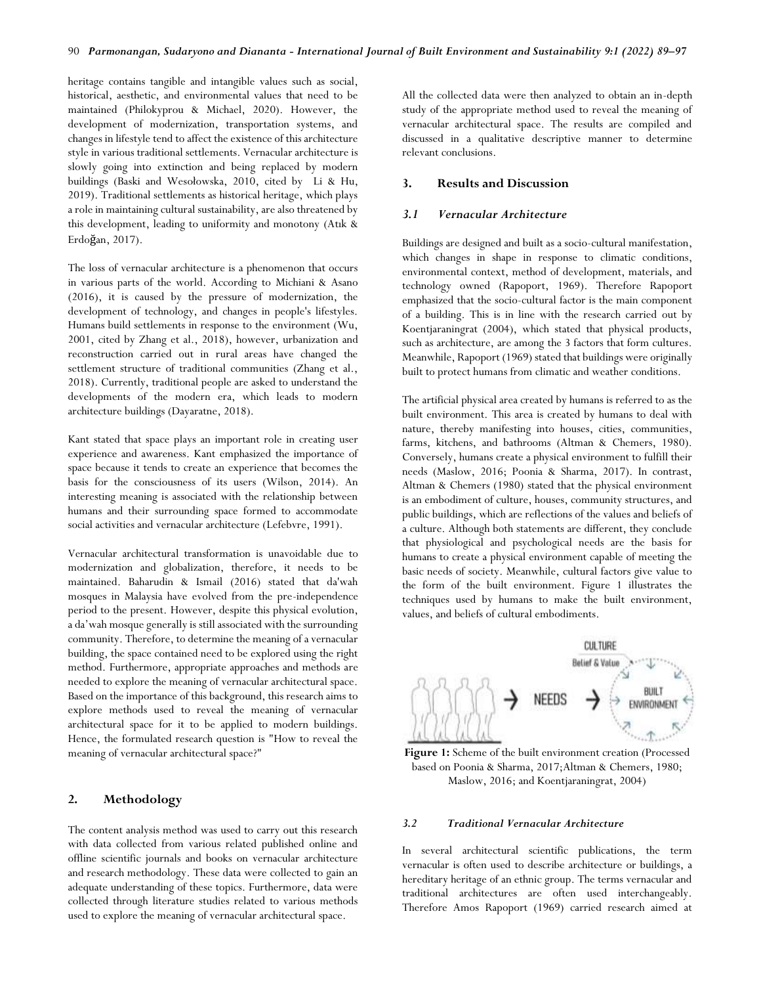heritage contains tangible and intangible values such as social, historical, aesthetic, and environmental values that need to be maintained (Philokyprou & Michael, 2020). However, the development of modernization, transportation systems, and changes in lifestyle tend to affect the existence of this architecture style in various traditional settlements. Vernacular architecture is slowly going into extinction and being replaced by modern buildings (Baski and Wesołowska, 2010, cited by Li & Hu, 2019). Traditional settlements as historical heritage, which plays a role in maintaining cultural sustainability, are also threatened by this development, leading to uniformity and monotony (Atık & Erdoğan, 2017).

The loss of vernacular architecture is a phenomenon that occurs in various parts of the world. According to Michiani & Asano (2016), it is caused by the pressure of modernization, the development of technology, and changes in people's lifestyles. Humans build settlements in response to the environment (Wu, 2001, cited by Zhang et al., 2018), however, urbanization and reconstruction carried out in rural areas have changed the settlement structure of traditional communities (Zhang et al., 2018). Currently, traditional people are asked to understand the developments of the modern era, which leads to modern architecture buildings (Dayaratne, 2018).

Kant stated that space plays an important role in creating user experience and awareness. Kant emphasized the importance of space because it tends to create an experience that becomes the basis for the consciousness of its users (Wilson, 2014). An interesting meaning is associated with the relationship between humans and their surrounding space formed to accommodate social activities and vernacular architecture (Lefebvre, 1991).

Vernacular architectural transformation is unavoidable due to modernization and globalization, therefore, it needs to be maintained. Baharudin & Ismail (2016) stated that da'wah mosques in Malaysia have evolved from the pre-independence period to the present. However, despite this physical evolution, a da'wah mosque generally is still associated with the surrounding community. Therefore, to determine the meaning of a vernacular building, the space contained need to be explored using the right method. Furthermore, appropriate approaches and methods are needed to explore the meaning of vernacular architectural space. Based on the importance of this background, this research aims to explore methods used to reveal the meaning of vernacular architectural space for it to be applied to modern buildings. Hence, the formulated research question is "How to reveal the meaning of vernacular architectural space?"

# **2. Methodology**

The content analysis method was used to carry out this research with data collected from various related published online and offline scientific journals and books on vernacular architecture and research methodology. These data were collected to gain an adequate understanding of these topics. Furthermore, data were collected through literature studies related to various methods used to explore the meaning of vernacular architectural space.

All the collected data were then analyzed to obtain an in-depth study of the appropriate method used to reveal the meaning of vernacular architectural space. The results are compiled and discussed in a qualitative descriptive manner to determine relevant conclusions.

# **3. Results and Discussion**

## *3.1 Vernacular Architecture*

Buildings are designed and built as a socio-cultural manifestation, which changes in shape in response to climatic conditions, environmental context, method of development, materials, and technology owned (Rapoport, 1969). Therefore Rapoport emphasized that the socio-cultural factor is the main component of a building. This is in line with the research carried out by Koentjaraningrat (2004), which stated that physical products, such as architecture, are among the 3 factors that form cultures. Meanwhile, Rapoport (1969) stated that buildings were originally built to protect humans from climatic and weather conditions.

The artificial physical area created by humans is referred to as the built environment. This area is created by humans to deal with nature, thereby manifesting into houses, cities, communities, farms, kitchens, and bathrooms (Altman & Chemers, 1980). Conversely, humans create a physical environment to fulfill their needs (Maslow, 2016; Poonia & Sharma, 2017). In contrast, Altman & Chemers (1980) stated that the physical environment is an embodiment of culture, houses, community structures, and public buildings, which are reflections of the values and beliefs of a culture. Although both statements are different, they conclude that physiological and psychological needs are the basis for humans to create a physical environment capable of meeting the basic needs of society. Meanwhile, cultural factors give value to the form of the built environment. Figure 1 illustrates the techniques used by humans to make the built environment, values, and beliefs of cultural embodiments.





### *3.2 Traditional Vernacular Architecture*

In several architectural scientific publications, the term vernacular is often used to describe architecture or buildings, a hereditary heritage of an ethnic group. The terms vernacular and traditional architectures are often used interchangeably. Therefore Amos Rapoport (1969) carried research aimed at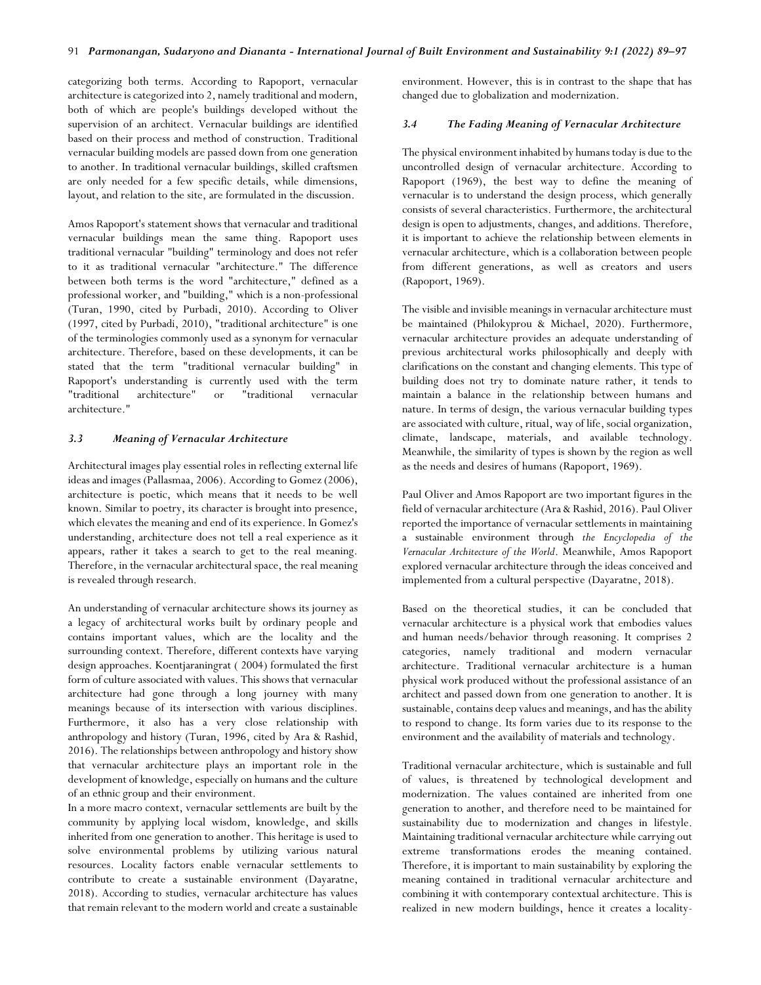categorizing both terms. According to Rapoport, vernacular architecture is categorized into 2, namely traditional and modern, both of which are people's buildings developed without the supervision of an architect. Vernacular buildings are identified based on their process and method of construction. Traditional vernacular building models are passed down from one generation to another. In traditional vernacular buildings, skilled craftsmen are only needed for a few specific details, while dimensions, layout, and relation to the site, are formulated in the discussion.

Amos Rapoport's statement shows that vernacular and traditional vernacular buildings mean the same thing. Rapoport uses traditional vernacular "building" terminology and does not refer to it as traditional vernacular "architecture." The difference between both terms is the word "architecture," defined as a professional worker, and "building," which is a non-professional (Turan, 1990, cited by Purbadi, 2010). According to Oliver (1997, cited by Purbadi, 2010), "traditional architecture" is one of the terminologies commonly used as a synonym for vernacular architecture. Therefore, based on these developments, it can be stated that the term "traditional vernacular building" in Rapoport's understanding is currently used with the term "traditional architecture" or "traditional vernacular architecture."

# *3.3 Meaning of Vernacular Architecture*

Architectural images play essential roles in reflecting external life ideas and images (Pallasmaa, 2006). According to Gomez (2006), architecture is poetic, which means that it needs to be well known. Similar to poetry, its character is brought into presence, which elevates the meaning and end of its experience. In Gomez's understanding, architecture does not tell a real experience as it appears, rather it takes a search to get to the real meaning. Therefore, in the vernacular architectural space, the real meaning is revealed through research.

An understanding of vernacular architecture shows its journey as a legacy of architectural works built by ordinary people and contains important values, which are the locality and the surrounding context. Therefore, different contexts have varying design approaches. Koentjaraningrat ( 2004) formulated the first form of culture associated with values. This shows that vernacular architecture had gone through a long journey with many meanings because of its intersection with various disciplines. Furthermore, it also has a very close relationship with anthropology and history (Turan, 1996, cited by Ara & Rashid, 2016). The relationships between anthropology and history show that vernacular architecture plays an important role in the development of knowledge, especially on humans and the culture of an ethnic group and their environment.

In a more macro context, vernacular settlements are built by the community by applying local wisdom, knowledge, and skills inherited from one generation to another. This heritage is used to solve environmental problems by utilizing various natural resources. Locality factors enable vernacular settlements to contribute to create a sustainable environment (Dayaratne, 2018). According to studies, vernacular architecture has values that remain relevant to the modern world and create a sustainable

environment. However, this is in contrast to the shape that has changed due to globalization and modernization.

#### *3.4 The Fading Meaning of Vernacular Architecture*

The physical environment inhabited by humans today is due to the uncontrolled design of vernacular architecture. According to Rapoport (1969), the best way to define the meaning of vernacular is to understand the design process, which generally consists of several characteristics. Furthermore, the architectural design is open to adjustments, changes, and additions. Therefore, it is important to achieve the relationship between elements in vernacular architecture, which is a collaboration between people from different generations, as well as creators and users (Rapoport, 1969).

The visible and invisible meanings in vernacular architecture must be maintained (Philokyprou & Michael, 2020). Furthermore, vernacular architecture provides an adequate understanding of previous architectural works philosophically and deeply with clarifications on the constant and changing elements. This type of building does not try to dominate nature rather, it tends to maintain a balance in the relationship between humans and nature. In terms of design, the various vernacular building types are associated with culture, ritual, way of life, social organization, climate, landscape, materials, and available technology. Meanwhile, the similarity of types is shown by the region as well as the needs and desires of humans (Rapoport, 1969).

Paul Oliver and Amos Rapoport are two important figures in the field of vernacular architecture (Ara & Rashid, 2016). Paul Oliver reported the importance of vernacular settlements in maintaining a sustainable environment through *the Encyclopedia of the Vernacular Architecture of the World*. Meanwhile, Amos Rapoport explored vernacular architecture through the ideas conceived and implemented from a cultural perspective (Dayaratne, 2018).

Based on the theoretical studies, it can be concluded that vernacular architecture is a physical work that embodies values and human needs/behavior through reasoning. It comprises 2 categories, namely traditional and modern vernacular architecture. Traditional vernacular architecture is a human physical work produced without the professional assistance of an architect and passed down from one generation to another. It is sustainable, contains deep values and meanings, and has the ability to respond to change. Its form varies due to its response to the environment and the availability of materials and technology.

Traditional vernacular architecture, which is sustainable and full of values, is threatened by technological development and modernization. The values contained are inherited from one generation to another, and therefore need to be maintained for sustainability due to modernization and changes in lifestyle. Maintaining traditional vernacular architecture while carrying out extreme transformations erodes the meaning contained. Therefore, it is important to main sustainability by exploring the meaning contained in traditional vernacular architecture and combining it with contemporary contextual architecture. This is realized in new modern buildings, hence it creates a locality-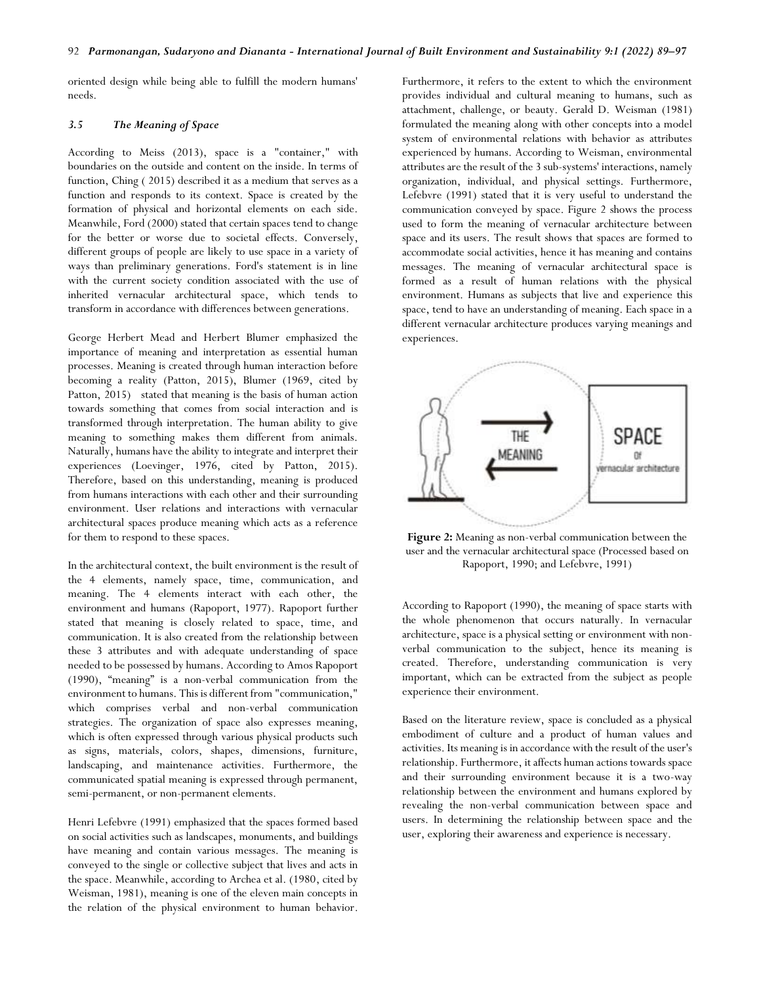oriented design while being able to fulfill the modern humans' needs.

## *3.5 The Meaning of Space*

According to Meiss (2013), space is a "container," with boundaries on the outside and content on the inside. In terms of function, Ching ( 2015) described it as a medium that serves as a function and responds to its context. Space is created by the formation of physical and horizontal elements on each side. Meanwhile, Ford (2000) stated that certain spaces tend to change for the better or worse due to societal effects. Conversely, different groups of people are likely to use space in a variety of ways than preliminary generations. Ford's statement is in line with the current society condition associated with the use of inherited vernacular architectural space, which tends to transform in accordance with differences between generations.

George Herbert Mead and Herbert Blumer emphasized the importance of meaning and interpretation as essential human processes. Meaning is created through human interaction before becoming a reality (Patton, 2015), Blumer (1969, cited by Patton, 2015) stated that meaning is the basis of human action towards something that comes from social interaction and is transformed through interpretation. The human ability to give meaning to something makes them different from animals. Naturally, humans have the ability to integrate and interpret their experiences (Loevinger, 1976, cited by Patton, 2015). Therefore, based on this understanding, meaning is produced from humans interactions with each other and their surrounding environment. User relations and interactions with vernacular architectural spaces produce meaning which acts as a reference for them to respond to these spaces.

In the architectural context, the built environment is the result of the 4 elements, namely space, time, communication, and meaning. The 4 elements interact with each other, the environment and humans (Rapoport, 1977). Rapoport further stated that meaning is closely related to space, time, and communication. It is also created from the relationship between these 3 attributes and with adequate understanding of space needed to be possessed by humans. According to Amos Rapoport (1990), "meaning" is a non-verbal communication from the environment to humans. This is different from "communication," which comprises verbal and non-verbal communication strategies. The organization of space also expresses meaning, which is often expressed through various physical products such as signs, materials, colors, shapes, dimensions, furniture, landscaping, and maintenance activities. Furthermore, the communicated spatial meaning is expressed through permanent, semi-permanent, or non-permanent elements.

Henri Lefebvre (1991) emphasized that the spaces formed based on social activities such as landscapes, monuments, and buildings have meaning and contain various messages. The meaning is conveyed to the single or collective subject that lives and acts in the space. Meanwhile, according to Archea et al. (1980, cited by Weisman, 1981), meaning is one of the eleven main concepts in the relation of the physical environment to human behavior.

Furthermore, it refers to the extent to which the environment provides individual and cultural meaning to humans, such as attachment, challenge, or beauty. Gerald D. Weisman (1981) formulated the meaning along with other concepts into a model system of environmental relations with behavior as attributes experienced by humans. According to Weisman, environmental attributes are the result of the 3 sub-systems' interactions, namely organization, individual, and physical settings. Furthermore, Lefebvre (1991) stated that it is very useful to understand the communication conveyed by space. Figure 2 shows the process used to form the meaning of vernacular architecture between space and its users. The result shows that spaces are formed to accommodate social activities, hence it has meaning and contains messages. The meaning of vernacular architectural space is formed as a result of human relations with the physical environment. Humans as subjects that live and experience this space, tend to have an understanding of meaning. Each space in a different vernacular architecture produces varying meanings and experiences.



**Figure 2:** Meaning as non-verbal communication between the user and the vernacular architectural space (Processed based on Rapoport, 1990; and Lefebvre, 1991)

According to Rapoport (1990), the meaning of space starts with the whole phenomenon that occurs naturally. In vernacular architecture, space is a physical setting or environment with nonverbal communication to the subject, hence its meaning is created. Therefore, understanding communication is very important, which can be extracted from the subject as people experience their environment.

Based on the literature review, space is concluded as a physical embodiment of culture and a product of human values and activities. Its meaning is in accordance with the result of the user's relationship. Furthermore, it affects human actions towards space and their surrounding environment because it is a two-way relationship between the environment and humans explored by revealing the non-verbal communication between space and users. In determining the relationship between space and the user, exploring their awareness and experience is necessary.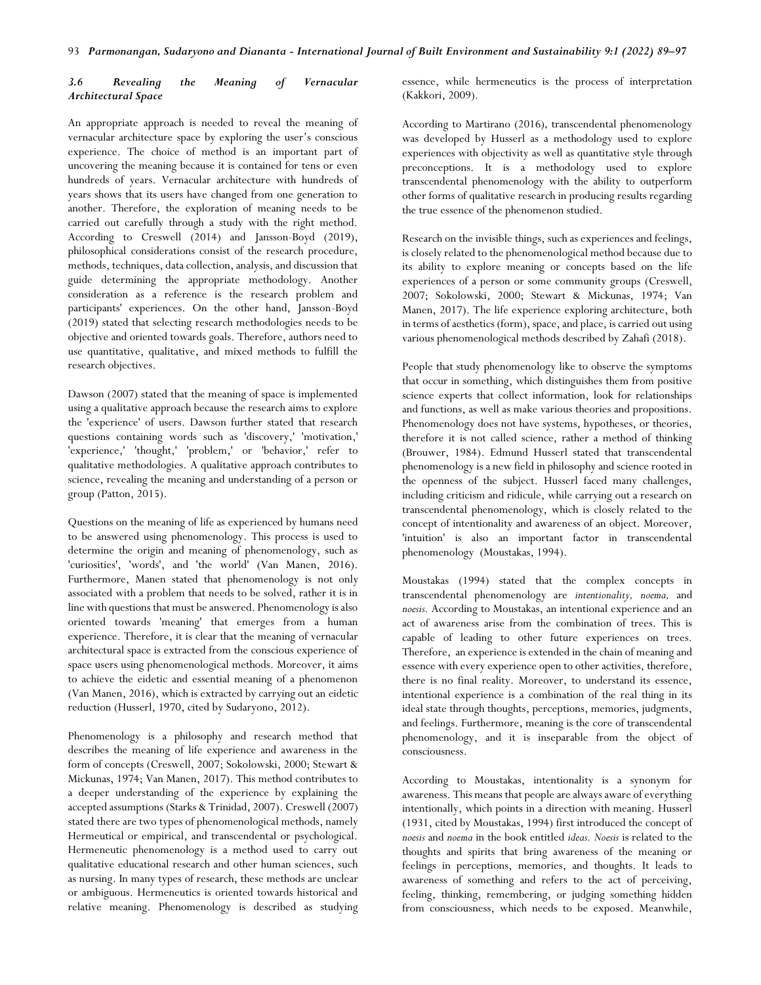# *3.6 Revealing the Meaning of Vernacular Architectural Space*

An appropriate approach is needed to reveal the meaning of vernacular architecture space by exploring the user's conscious experience. The choice of method is an important part of uncovering the meaning because it is contained for tens or even hundreds of years. Vernacular architecture with hundreds of years shows that its users have changed from one generation to another. Therefore, the exploration of meaning needs to be carried out carefully through a study with the right method. According to Creswell (2014) and Jansson-Boyd (2019), philosophical considerations consist of the research procedure, methods, techniques, data collection, analysis, and discussion that guide determining the appropriate methodology. Another consideration as a reference is the research problem and participants' experiences. On the other hand, Jansson-Boyd (2019) stated that selecting research methodologies needs to be objective and oriented towards goals. Therefore, authors need to use quantitative, qualitative, and mixed methods to fulfill the research objectives.

Dawson (2007) stated that the meaning of space is implemented using a qualitative approach because the research aims to explore the 'experience' of users. Dawson further stated that research questions containing words such as 'discovery,' 'motivation,' 'experience,' 'thought,' 'problem,' or 'behavior,' refer to qualitative methodologies. A qualitative approach contributes to science, revealing the meaning and understanding of a person or group (Patton, 2015).

Questions on the meaning of life as experienced by humans need to be answered using phenomenology. This process is used to determine the origin and meaning of phenomenology, such as 'curiosities', 'words', and 'the world' (Van Manen, 2016). Furthermore, Manen stated that phenomenology is not only associated with a problem that needs to be solved, rather it is in line with questions that must be answered. Phenomenology is also oriented towards 'meaning' that emerges from a human experience. Therefore, it is clear that the meaning of vernacular architectural space is extracted from the conscious experience of space users using phenomenological methods. Moreover, it aims to achieve the eidetic and essential meaning of a phenomenon (Van Manen, 2016), which is extracted by carrying out an eidetic reduction (Husserl, 1970, cited by Sudaryono, 2012).

Phenomenology is a philosophy and research method that describes the meaning of life experience and awareness in the form of concepts (Creswell, 2007; Sokolowski, 2000; Stewart & Mickunas, 1974; Van Manen, 2017). This method contributes to a deeper understanding of the experience by explaining the accepted assumptions (Starks & Trinidad, 2007). Creswell (2007) stated there are two types of phenomenological methods, namely Hermeutical or empirical, and transcendental or psychological. Hermeneutic phenomenology is a method used to carry out qualitative educational research and other human sciences, such as nursing. In many types of research, these methods are unclear or ambiguous. Hermeneutics is oriented towards historical and relative meaning. Phenomenology is described as studying essence, while hermeneutics is the process of interpretation (Kakkori, 2009).

According to Martirano (2016), transcendental phenomenology was developed by Husserl as a methodology used to explore experiences with objectivity as well as quantitative style through preconceptions. It is a methodology used to explore transcendental phenomenology with the ability to outperform other forms of qualitative research in producing results regarding the true essence of the phenomenon studied.

Research on the invisible things, such as experiences and feelings, is closely related to the phenomenological method because due to its ability to explore meaning or concepts based on the life experiences of a person or some community groups (Creswell, 2007; Sokolowski, 2000; Stewart & Mickunas, 1974; Van Manen, 2017). The life experience exploring architecture, both in terms of aesthetics (form), space, and place, is carried out using various phenomenological methods described by Zahafi (2018).

People that study phenomenology like to observe the symptoms that occur in something, which distinguishes them from positive science experts that collect information, look for relationships and functions, as well as make various theories and propositions. Phenomenology does not have systems, hypotheses, or theories, therefore it is not called science, rather a method of thinking (Brouwer, 1984). Edmund Husserl stated that transcendental phenomenology is a new field in philosophy and science rooted in the openness of the subject. Husserl faced many challenges, including criticism and ridicule, while carrying out a research on transcendental phenomenology, which is closely related to the concept of intentionality and awareness of an object. Moreover, 'intuition' is also an important factor in transcendental phenomenology (Moustakas, 1994).

Moustakas (1994) stated that the complex concepts in transcendental phenomenology are *intentionality, noema,* and *noesis.* According to Moustakas, an intentional experience and an act of awareness arise from the combination of trees. This is capable of leading to other future experiences on trees. Therefore, an experience is extended in the chain of meaning and essence with every experience open to other activities, therefore, there is no final reality. Moreover, to understand its essence, intentional experience is a combination of the real thing in its ideal state through thoughts, perceptions, memories, judgments, and feelings. Furthermore, meaning is the core of transcendental phenomenology, and it is inseparable from the object of consciousness.

According to Moustakas, intentionality is a synonym for awareness. This means that people are always aware of everything intentionally, which points in a direction with meaning. Husserl (1931, cited by Moustakas, 1994) first introduced the concept of *noesis* and *noema* in the book entitled *ideas. Noesis* is related to the thoughts and spirits that bring awareness of the meaning or feelings in perceptions, memories, and thoughts. It leads to awareness of something and refers to the act of perceiving, feeling, thinking, remembering, or judging something hidden from consciousness, which needs to be exposed. Meanwhile,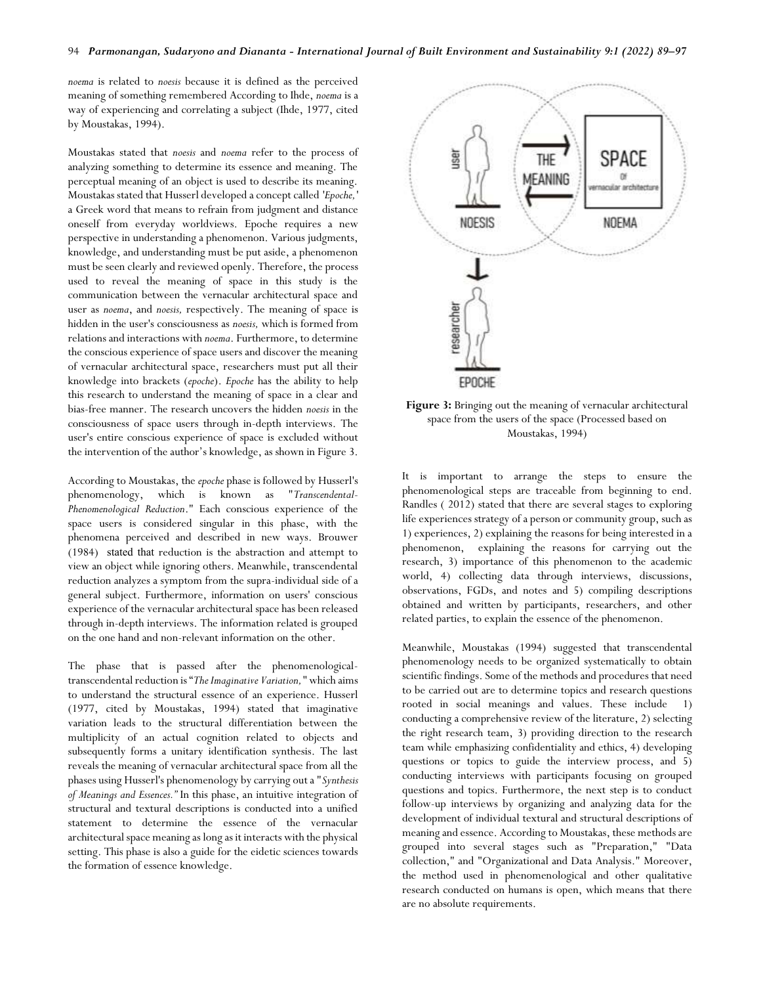*noema* is related to *noesis* because it is defined as the perceived meaning of something remembered According to Ihde, *noema* is a way of experiencing and correlating a subject (Ihde, 1977, cited by Moustakas, 1994).

Moustakas stated that *noesis* and *noema* refer to the process of analyzing something to determine its essence and meaning. The perceptual meaning of an object is used to describe its meaning. Moustakas stated that Husserl developed a concept called *'Epoche,'* a Greek word that means to refrain from judgment and distance oneself from everyday worldviews. Epoche requires a new perspective in understanding a phenomenon. Various judgments, knowledge, and understanding must be put aside, a phenomenon must be seen clearly and reviewed openly. Therefore, the process used to reveal the meaning of space in this study is the communication between the vernacular architectural space and user as *noema*, and *noesis,* respectively. The meaning of space is hidden in the user's consciousness as *noesis,* which is formed from relations and interactions with *noema*. Furthermore, to determine the conscious experience of space users and discover the meaning of vernacular architectural space, researchers must put all their knowledge into brackets (*epoche*). *Epoche* has the ability to help this research to understand the meaning of space in a clear and bias-free manner. The research uncovers the hidden *noesis* in the consciousness of space users through in-depth interviews. The user's entire conscious experience of space is excluded without the intervention of the author's knowledge, as shown in Figure 3.

According to Moustakas, the *epoche* phase is followed by Husserl's phenomenology, which is known as "*Transcendental-Phenomenological Reduction*." Each conscious experience of the space users is considered singular in this phase, with the phenomena perceived and described in new ways. Brouwer (1984) stated that reduction is the abstraction and attempt to view an object while ignoring others. Meanwhile, transcendental reduction analyzes a symptom from the supra-individual side of a general subject. Furthermore, information on users' conscious experience of the vernacular architectural space has been released through in-depth interviews. The information related is grouped on the one hand and non-relevant information on the other.

The phase that is passed after the phenomenologicaltranscendental reduction is "*The Imaginative Variation,"* which aims to understand the structural essence of an experience. Husserl (1977, cited by Moustakas, 1994) stated that imaginative variation leads to the structural differentiation between the multiplicity of an actual cognition related to objects and subsequently forms a unitary identification synthesis. The last reveals the meaning of vernacular architectural space from all the phases using Husserl's phenomenology by carrying out a "*Synthesis of Meanings and Essences."* In this phase, an intuitive integration of structural and textural descriptions is conducted into a unified statement to determine the essence of the vernacular architectural space meaning as long as it interacts with the physical setting. This phase is also a guide for the eidetic sciences towards the formation of essence knowledge.



**Figure 3:** Bringing out the meaning of vernacular architectural space from the users of the space (Processed based on Moustakas, 1994)

It is important to arrange the steps to ensure the phenomenological steps are traceable from beginning to end. Randles ( 2012) stated that there are several stages to exploring life experiences strategy of a person or community group, such as 1) experiences, 2) explaining the reasons for being interested in a phenomenon, explaining the reasons for carrying out the research, 3) importance of this phenomenon to the academic world, 4) collecting data through interviews, discussions, observations, FGDs, and notes and 5) compiling descriptions obtained and written by participants, researchers, and other related parties, to explain the essence of the phenomenon.

Meanwhile, Moustakas (1994) suggested that transcendental phenomenology needs to be organized systematically to obtain scientific findings. Some of the methods and procedures that need to be carried out are to determine topics and research questions rooted in social meanings and values. These include 1) conducting a comprehensive review of the literature, 2) selecting the right research team, 3) providing direction to the research team while emphasizing confidentiality and ethics, 4) developing questions or topics to guide the interview process, and 5) conducting interviews with participants focusing on grouped questions and topics. Furthermore, the next step is to conduct follow-up interviews by organizing and analyzing data for the development of individual textural and structural descriptions of meaning and essence. According to Moustakas, these methods are grouped into several stages such as "Preparation," "Data collection," and "Organizational and Data Analysis." Moreover, the method used in phenomenological and other qualitative research conducted on humans is open, which means that there are no absolute requirements.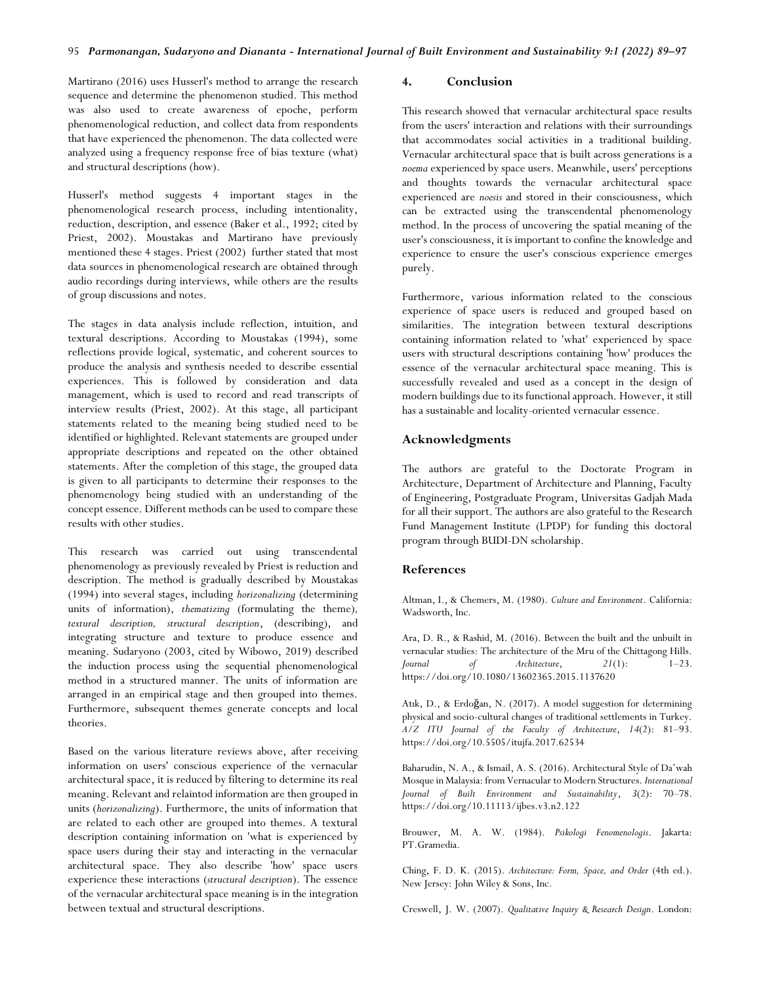Martirano (2016) uses Husserl's method to arrange the research sequence and determine the phenomenon studied. This method was also used to create awareness of epoche, perform phenomenological reduction, and collect data from respondents that have experienced the phenomenon. The data collected were analyzed using a frequency response free of bias texture (what) and structural descriptions (how).

Husserl's method suggests 4 important stages in the phenomenological research process, including intentionality, reduction, description, and essence (Baker et al., 1992; cited by Priest, 2002). Moustakas and Martirano have previously mentioned these 4 stages. Priest (2002) further stated that most data sources in phenomenological research are obtained through audio recordings during interviews, while others are the results of group discussions and notes.

The stages in data analysis include reflection, intuition, and textural descriptions. According to Moustakas (1994), some reflections provide logical, systematic, and coherent sources to produce the analysis and synthesis needed to describe essential experiences. This is followed by consideration and data management, which is used to record and read transcripts of interview results (Priest, 2002). At this stage, all participant statements related to the meaning being studied need to be identified or highlighted. Relevant statements are grouped under appropriate descriptions and repeated on the other obtained statements. After the completion of this stage, the grouped data is given to all participants to determine their responses to the phenomenology being studied with an understanding of the concept essence. Different methods can be used to compare these results with other studies.

This research was carried out using transcendental phenomenology as previously revealed by Priest is reduction and description. The method is gradually described by Moustakas (1994) into several stages, including *horizonalizing* (determining units of information), *thematizing* (formulating the theme)*, textural description, structural description*, (describing), and integrating structure and texture to produce essence and meaning. Sudaryono (2003, cited by Wibowo, 2019) described the induction process using the sequential phenomenological method in a structured manner. The units of information are arranged in an empirical stage and then grouped into themes. Furthermore, subsequent themes generate concepts and local theories.

Based on the various literature reviews above, after receiving information on users' conscious experience of the vernacular architectural space, it is reduced by filtering to determine its real meaning. Relevant and relaintod information are then grouped in units (*horizonalizing*). Furthermore, the units of information that are related to each other are grouped into themes. A textural description containing information on 'what is experienced by space users during their stay and interacting in the vernacular architectural space. They also describe 'how' space users experience these interactions (*structural description*). The essence of the vernacular architectural space meaning is in the integration between textual and structural descriptions.

# **4. Conclusion**

This research showed that vernacular architectural space results from the users' interaction and relations with their surroundings that accommodates social activities in a traditional building. Vernacular architectural space that is built across generations is a *noema* experienced by space users. Meanwhile, users' perceptions and thoughts towards the vernacular architectural space experienced are *noesis* and stored in their consciousness, which can be extracted using the transcendental phenomenology method. In the process of uncovering the spatial meaning of the user's consciousness, it is important to confine the knowledge and experience to ensure the user's conscious experience emerges purely.

Furthermore, various information related to the conscious experience of space users is reduced and grouped based on similarities. The integration between textural descriptions containing information related to 'what' experienced by space users with structural descriptions containing 'how' produces the essence of the vernacular architectural space meaning. This is successfully revealed and used as a concept in the design of modern buildings due to its functional approach. However, it still has a sustainable and locality-oriented vernacular essence.

## **Acknowledgments**

The authors are grateful to the Doctorate Program in Architecture, Department of Architecture and Planning, Faculty of Engineering, Postgraduate Program, Universitas Gadjah Mada for all their support. The authors are also grateful to the Research Fund Management Institute (LPDP) for funding this doctoral program through BUDI-DN scholarship.

#### **References**

Altman, I., & Chemers, M. (1980). *Culture and Environment*. California: Wadsworth, Inc.

Ara, D. R., & Rashid, M. (2016). Between the built and the unbuilt in vernacular studies: The architecture of the Mru of the Chittagong Hills. *Journal of Architecture*, *21*(1): 1–23. https://doi.org/10.1080/13602365.2015.1137620

Atık, D., & Erdoğan, N. (2017). A model suggestion for determining physical and socio-cultural changes of traditional settlements in Turkey. *A/Z ITU Journal of the Faculty of Architecture*, *14*(2): 81–93. https://doi.org/10.5505/itujfa.2017.62534

Baharudin, N. A., & Ismail, A. S. (2016). Architectural Style of Da'wah Mosque in Malaysia: from Vernacular to Modern Structures. *International Journal of Built Environment and Sustainability*, *3*(2): 70–78. https://doi.org/10.11113/ijbes.v3.n2.122

Brouwer, M. A. W. (1984). *Psikologi Fenomenologis*. Jakarta: PT.Gramedia.

Ching, F. D. K. (2015). *Architecture: Form, Space, and Order* (4th ed.). New Jersey: John Wiley & Sons, Inc.

Creswell, J. W. (2007). *Qualitative Inquiry & Research Design*. London: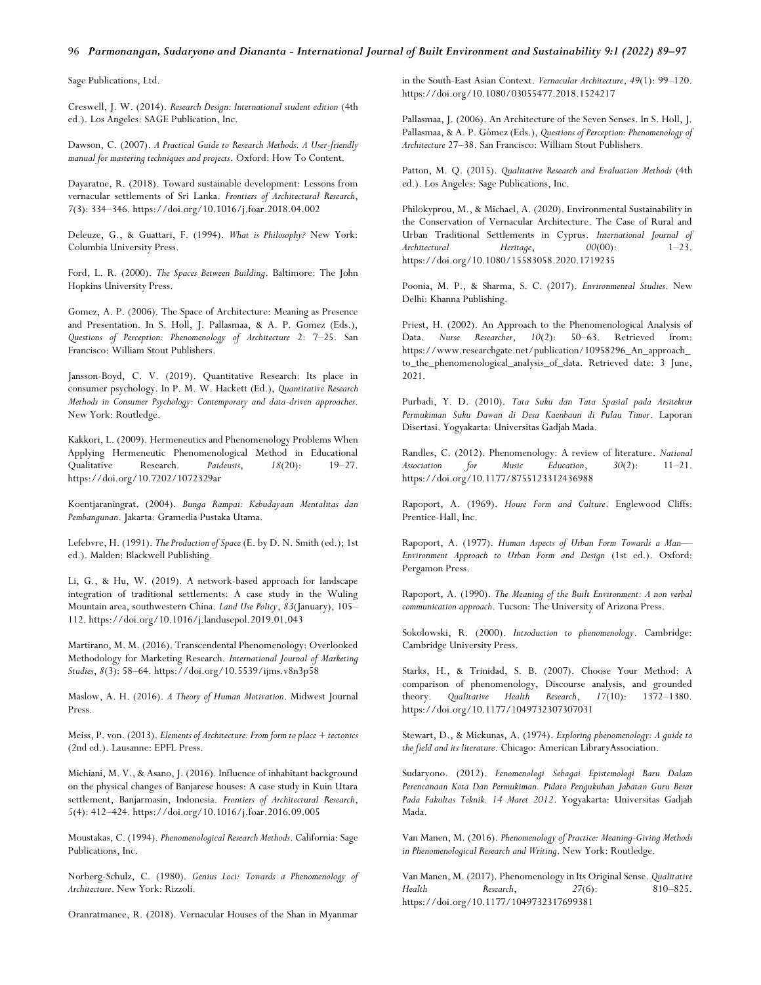#### 96 *Parmonangan, Sudaryono and Diananta - International Journal of Built Environment and Sustainability 9:1 (2022) 89–97*

Sage Publications, Ltd.

Creswell, J. W. (2014). *Research Design: International student edition* (4th ed.). Los Angeles: SAGE Publication, Inc.

Dawson, C. (2007). *A Practical Guide to Research Methods. A User-friendly manual for mastering techniques and projects*. Oxford: How To Content.

Dayaratne, R. (2018). Toward sustainable development: Lessons from vernacular settlements of Sri Lanka. *Frontiers of Architectural Research*, *7*(3): 334–346. https://doi.org/10.1016/j.foar.2018.04.002

Deleuze, G., & Guattari, F. (1994). *What is Philosophy?* New York: Columbia University Press.

Ford, L. R. (2000). *The Spaces Between Building*. Baltimore: The John Hopkins University Press.

Gomez, A. P. (2006). The Space of Architecture: Meaning as Presence and Presentation. In S. Holl, J. Pallasmaa, & A. P. Gomez (Eds.), *Questions of Perception: Phenomenology of Architecture* 2: 7–25. San Francisco: William Stout Publishers.

Jansson-Boyd, C. V. (2019). Quantitative Research: Its place in consumer psychology. In P. M. W. Hackett (Ed.), *Quantitative Research Methods in Consumer Psychology: Contemporary and data-driven approaches*. New York: Routledge.

Kakkori, L. (2009). Hermeneutics and Phenomenology Problems When Applying Hermeneutic Phenomenological Method in Educational Qualitative Research. *Paideusis*, *18*(20): 19–27. https://doi.org/10.7202/1072329ar

Koentjaraningrat. (2004). *Bunga Rampai: Kebudayaan Mentalitas dan Pembangunan*. Jakarta: Gramedia Pustaka Utama.

Lefebvre, H. (1991). *The Production of Space* (E. by D. N. Smith (ed.); 1st ed.). Malden: Blackwell Publishing.

Li, G., & Hu, W. (2019). A network-based approach for landscape integration of traditional settlements: A case study in the Wuling Mountain area, southwestern China. *Land Use Policy*, *83*(January), 105– 112. https://doi.org/10.1016/j.landusepol.2019.01.043

Martirano, M. M. (2016). Transcendental Phenomenology: Overlooked Methodology for Marketing Research. *International Journal of Marketing Studies*, *8*(3): 58–64. https://doi.org[/10.5539/ijms.v8n3p58](https://doi.org/10.5539/ijms.v8n3p58)

Maslow, A. H. (2016). *A Theory of Human Motivation*. Midwest Journal Press.

Meiss, P. von. (2013). *Elements of Architecture: From form to place + tectonics* (2nd ed.). Lausanne: EPFL Press.

Michiani, M. V., & Asano, J. (2016). Influence of inhabitant background on the physical changes of Banjarese houses: A case study in Kuin Utara settlement, Banjarmasin, Indonesia. *Frontiers of Architectural Research*, *5*(4): 412–424. https://doi.org/10.1016/j.foar.2016.09.005

Moustakas, C. (1994). *Phenomenological Research Methods*. California: Sage Publications, Inc.

Norberg-Schulz, C. (1980). *Genius Loci: Towards a Phenomenology of Architecture*. New York: Rizzoli.

Oranratmanee, R. (2018). Vernacular Houses of the Shan in Myanmar

in the South-East Asian Context. *Vernacular Architecture*, *49*(1): 99–120. https://doi.org/10.1080/03055477.2018.1524217

Pallasmaa, J. (2006). An Architecture of the Seven Senses. In S. Holl, J. Pallasmaa, & A. P. Gómez (Eds.), *Questions of Perception: Phenomenology of Architecture* 27–38. San Francisco: William Stout Publishers.

Patton, M. Q. (2015). *Qualitative Research and Evaluation Methods* (4th ed.). Los Angeles: Sage Publications, Inc.

Philokyprou, M., & Michael, A. (2020). Environmental Sustainability in the Conservation of Vernacular Architecture. The Case of Rural and Urban Traditional Settlements in Cyprus. *International Journal of Architectural Heritage*, *00*(00): 1–23. https://doi.org/10.1080/15583058.2020.1719235

Poonia, M. P., & Sharma, S. C. (2017). *Environmental Studies*. New Delhi: Khanna Publishing.

Priest, H. (2002). An Approach to the Phenomenological Analysis of Data. *Nurse Researcher*, *10*(2): 50–63. Retrieved from: [https://www.researchgate.net/publication/10958296\\_An\\_approach\\_](https://www.researchgate.net/publication/10958296_An_approach_to_the_phenomenological_analysis_of_data) [to\\_the\\_phenomenological\\_analysis\\_of\\_data.](https://www.researchgate.net/publication/10958296_An_approach_to_the_phenomenological_analysis_of_data) Retrieved date: 3 June, 2021.

Purbadi, Y. D. (2010). *Tata Suku dan Tata Spasial pada Arsitektur Permukiman Suku Dawan di Desa Kaenbaun di Pulau Timor*. Laporan Disertasi. Yogyakarta: Universitas Gadjah Mada.

Randles, C. (2012). Phenomenology: A review of literature. *National Association for Music Education*, *30*(2): 11–21. https://doi.org/10.1177/8755123312436988

Rapoport, A. (1969). *House Form and Culture*. Englewood Cliffs: Prentice-Hall, Inc.

Rapoport, A. (1977). *Human Aspects of Urban Form Towards a Man— Environment Approach to Urban Form and Design* (1st ed.). Oxford: Pergamon Press.

Rapoport, A. (1990). *The Meaning of the Built Environment: A non verbal communication approach*. Tucson: The University of Arizona Press.

Sokolowski, R. (2000). *Introduction to phenomenology*. Cambridge: Cambridge University Press.

Starks, H., & Trinidad, S. B. (2007). Choose Your Method: A comparison of phenomenology, Discourse analysis, and grounded theory. *Qualitative Health Research*, *17*(10): 1372–1380. https://doi.org/10.1177/1049732307307031

Stewart, D., & Mickunas, A. (1974). *Exploring phenomenology: A guide to the field and its literature*. Chicago: American LibraryAssociation.

Sudaryono. (2012). *Fenomenologi Sebagai Epistemologi Baru Dalam Perencanaan Kota Dan Permukiman. Pidato Pengukuhan Jabatan Guru Besar Pada Fakultas Teknik. 14 Maret 2012*. Yogyakarta: Universitas Gadjah Mada.

Van Manen, M. (2016). *Phenomenology of Practice: Meaning-Giving Methods in Phenomenological Research and Writing*. New York: Routledge.

Van Manen, M. (2017). Phenomenology in Its Original Sense. *Qualitative Health Research*, *27*(6): 810–825. https://doi.org/10.1177/1049732317699381